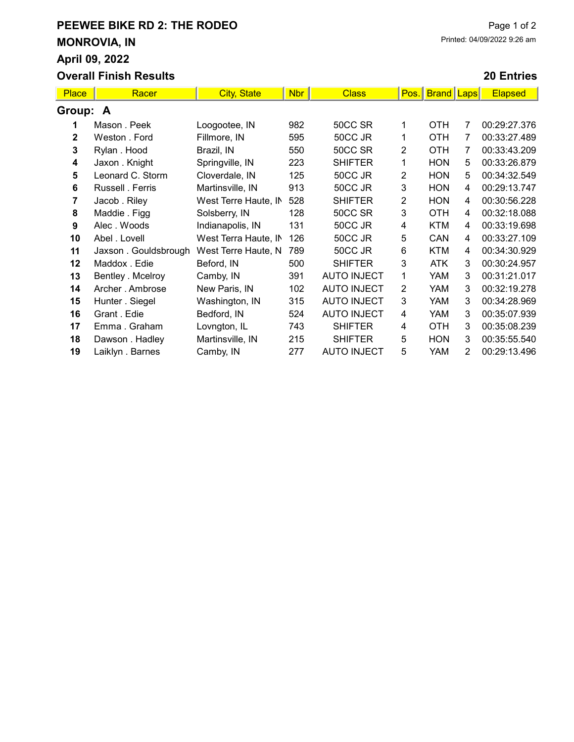## PEEWEE BIKE RD 2: THE RODEO MONROVIA, IN April 09, 2022 Overall Finish Results

## 20 Entries

| <b>Place</b> | Racer                | <b>City, State</b>   | <b>Nbr</b> | <b>Class</b>       | Pos.           | <b>Brand</b> | <b>Laps</b> | <b>Elapsed</b> |  |  |
|--------------|----------------------|----------------------|------------|--------------------|----------------|--------------|-------------|----------------|--|--|
| Group: A     |                      |                      |            |                    |                |              |             |                |  |  |
|              | Mason . Peek         | Loogootee, IN        | 982        | 50CC SR            | 1              | OTH          | 7           | 00:29:27.376   |  |  |
| $\mathbf 2$  | Weston . Ford        | Fillmore, IN         | 595        | 50CC JR            | 1              | <b>OTH</b>   | 7           | 00:33:27.489   |  |  |
| 3            | Rylan. Hood          | Brazil, IN           | 550        | 50CC SR            | $\overline{2}$ | <b>OTH</b>   | 7           | 00:33:43.209   |  |  |
| 4            | Jaxon . Knight       | Springville, IN      | 223        | <b>SHIFTER</b>     | 1              | <b>HON</b>   | 5           | 00:33:26.879   |  |  |
| 5            | Leonard C. Storm     | Cloverdale, IN       | 125        | 50CC JR            | 2              | <b>HON</b>   | 5           | 00:34:32.549   |  |  |
| 6            | Russell . Ferris     | Martinsville, IN     | 913        | 50CC JR            | 3              | <b>HON</b>   | 4           | 00:29:13.747   |  |  |
| 7            | Jacob . Riley        | West Terre Haute, IN | 528        | <b>SHIFTER</b>     | 2              | <b>HON</b>   | 4           | 00:30:56.228   |  |  |
| 8            | Maddie . Figg        | Solsberry, IN        | 128        | 50CC SR            | 3              | <b>OTH</b>   | 4           | 00:32:18.088   |  |  |
| 9            | Alec. Woods          | Indianapolis, IN     | 131        | 50CC JR            | 4              | <b>KTM</b>   | 4           | 00:33:19.698   |  |  |
| 10           | Abel . Lovell        | West Terra Haute, IN | 126        | 50CC JR            | 5              | CAN          | 4           | 00:33:27.109   |  |  |
| 11           | Jaxson. Gouldsbrough | West Terre Haute, N  | 789        | 50CC JR            | 6              | <b>KTM</b>   | 4           | 00:34:30.929   |  |  |
| 12           | Maddox . Edie        | Beford, IN           | 500        | <b>SHIFTER</b>     | 3              | <b>ATK</b>   | 3           | 00:30:24.957   |  |  |
| 13           | Bentley . Mcelroy    | Camby, IN            | 391        | <b>AUTO INJECT</b> | 1              | <b>YAM</b>   | 3           | 00:31:21.017   |  |  |
| 14           | Archer . Ambrose     | New Paris, IN        | 102        | <b>AUTO INJECT</b> | 2              | <b>YAM</b>   | 3           | 00:32:19.278   |  |  |
| 15           | Hunter . Siegel      | Washington, IN       | 315        | <b>AUTO INJECT</b> | 3              | YAM          | 3           | 00:34:28.969   |  |  |
| 16           | Grant . Edie         | Bedford, IN          | 524        | <b>AUTO INJECT</b> | 4              | YAM          | 3           | 00:35:07.939   |  |  |
| 17           | Emma. Graham         | Lovngton, IL         | 743        | <b>SHIFTER</b>     | 4              | <b>OTH</b>   | 3           | 00:35:08.239   |  |  |
| 18           | Dawson . Hadley      | Martinsville, IN     | 215        | <b>SHIFTER</b>     | 5              | <b>HON</b>   | 3           | 00:35:55.540   |  |  |
| 19           | Laiklyn . Barnes     | Camby, IN            | 277        | <b>AUTO INJECT</b> | 5              | <b>YAM</b>   | 2           | 00:29:13.496   |  |  |